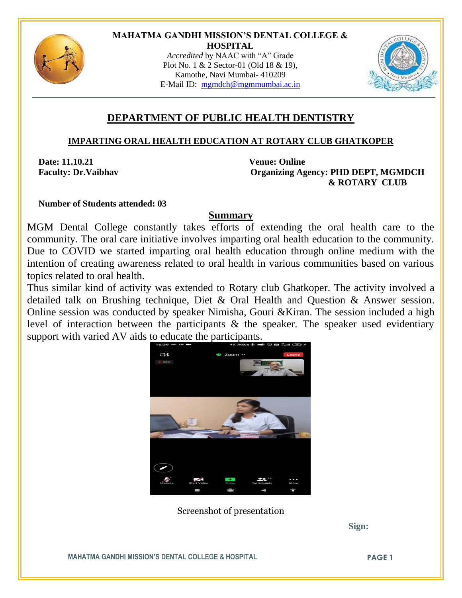

#### **MAHATMA GANDHI MISSION'S DENTAL COLLEGE & HOSPITAL**

*Accredited* by NAAC with "A" Grade Plot No. 1 & 2 Sector-01 (Old 18 & 19), Kamothe, Navi Mumbai- 410209 E-Mail ID: mgmdch@mgmmumbai.ac.in



# **DEPARTMENT OF PUBLIC HEALTH DENTISTRY**

### **IMPARTING ORAL HEALTH EDUCATION AT ROTARY CLUB GHATKOPER**

**Date: 11.10.21 Venue: Online**

 **Faculty: Dr.Vaibhav Organizing Agency: PHD DEPT, MGMDCH & ROTARY CLUB**

 **Number of Students attended: 03**

### **Summary**

MGM Dental College constantly takes efforts of extending the oral health care to the community. The oral care initiative involves imparting oral health education to the community. Due to COVID we started imparting oral health education through online medium with the intention of creating awareness related to oral health in various communities based on various topics related to oral health.

Thus similar kind of activity was extended to Rotary club Ghatkoper. The activity involved a detailed talk on Brushing technique, Diet & Oral Health and Question & Answer session. Online session was conducted by speaker Nimisha, Gouri &Kiran. The session included a high level of interaction between the participants & the speaker. The speaker used evidentiary support with varied AV aids to educate the participants.



Screenshot of presentation

 **Sign:**

**MAHATMA GANDHI MISSION'S DENTAL COLLEGE & HOSPITAL PAGE 1**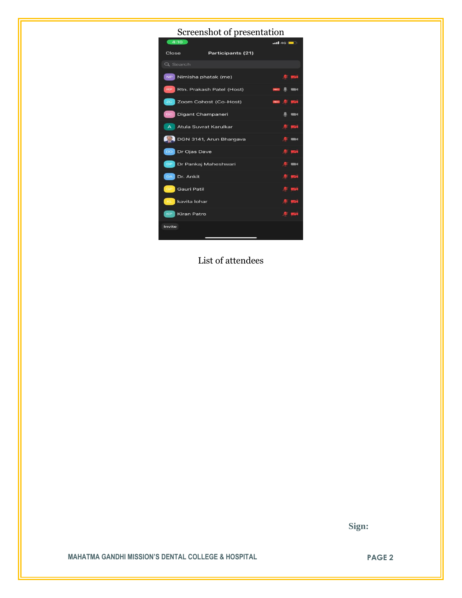# Screenshot of presentation



List of attendees

 **Sign:**

**MAHATMA GANDHI MISSION'S DENTAL COLLEGE & HOSPITAL PAGE 2**